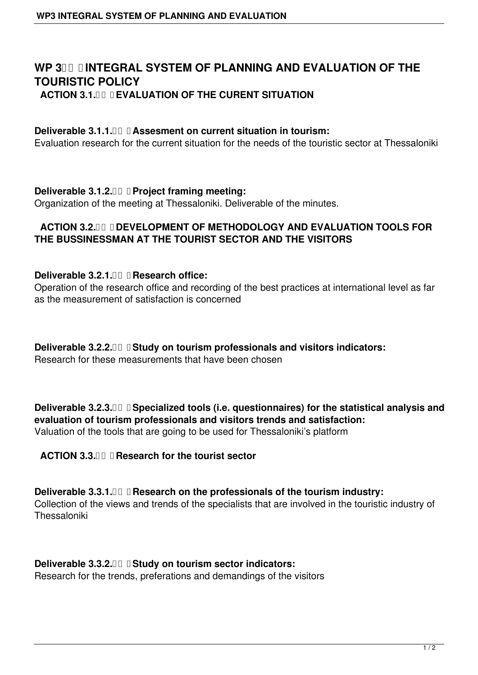# WP 3 **INTEGRAL SYSTEM OF PLANNING AND EVALUATION OF THE TOURISTIC POLICY ACTION 3.1. EVALUATION OF THE CURENT SITUATION**

### **Deliverable 3.1.1. <b>QU** Assesment on current situation in tourism:

Evaluation research for the current situation for the needs of the touristic sector at Thessaloniki

**Deliverable 3.1.2. Project framing meeting:**

Organization of the meeting at Thessaloniki. Deliverable of the minutes.

## **ACTION 3.2. DEVELOPMENT OF METHODOLOGY AND EVALUATION TOOLS FOR THE BUSSINESSMAN AT THE TOURIST SECTOR AND THE VISITORS**

### **Deliverable 3.2.1. II Research office:**

Operation of the research office and recording of the best practices at international level as far as the measurement of satisfaction is concerned

**Deliverable 3.2.2. <b> Study on tourism professionals and visitors indicators:** 

Research for these measurements that have been chosen

**Deliverable 3.2.3. <b>II** I Specialized tools (i.e. questionnaires) for the statistical analysis and **evaluation of tourism professionals and visitors trends and satisfaction:** Valuation of the tools that are going to be used for Thessaloniki's platform

## ACTION 3.3. *III* **Research for the tourist sector**

**Deliverable 3.3.1. II Research on the professionals of the tourism industry:** Collection of the views and trends of the specialists that are involved in the touristic industry of Thessaloniki

## **Deliverable 3.3.2. <b>II** II Study on tourism sector indicators:

Research for the trends, preferations and demandings of the visitors